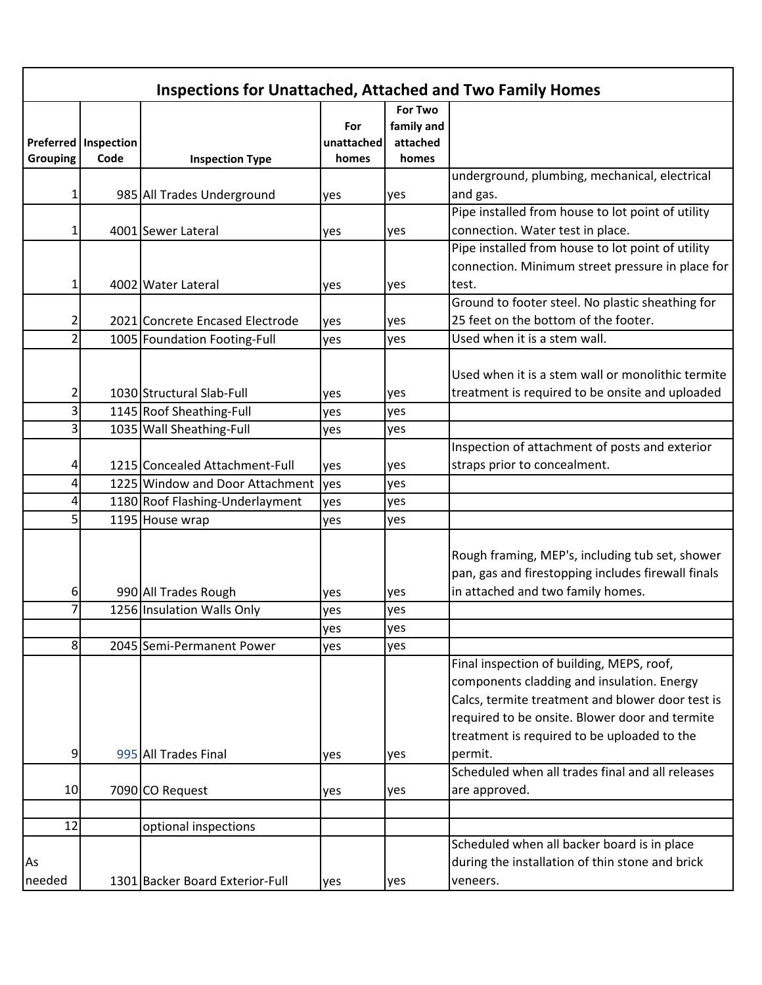| <b>Inspections for Unattached, Attached and Two Family Homes</b> |                             |                                 |            |            |                                                    |  |  |  |
|------------------------------------------------------------------|-----------------------------|---------------------------------|------------|------------|----------------------------------------------------|--|--|--|
|                                                                  |                             |                                 |            | For Two    |                                                    |  |  |  |
|                                                                  |                             |                                 | For        | family and |                                                    |  |  |  |
|                                                                  | <b>Preferred Inspection</b> |                                 | unattached | attached   |                                                    |  |  |  |
| <b>Grouping</b>                                                  | Code                        | <b>Inspection Type</b>          | homes      | homes      |                                                    |  |  |  |
|                                                                  |                             |                                 |            |            | underground, plumbing, mechanical, electrical      |  |  |  |
| 1                                                                |                             | 985 All Trades Underground      | yes        | yes        | and gas.                                           |  |  |  |
|                                                                  |                             |                                 |            |            | Pipe installed from house to lot point of utility  |  |  |  |
|                                                                  |                             | 4001 Sewer Lateral              | yes        | yes        | connection. Water test in place.                   |  |  |  |
|                                                                  |                             |                                 |            |            | Pipe installed from house to lot point of utility  |  |  |  |
|                                                                  |                             |                                 |            |            | connection. Minimum street pressure in place for   |  |  |  |
| 1                                                                |                             | 4002 Water Lateral              | yes        | yes        | test.                                              |  |  |  |
|                                                                  |                             |                                 |            |            | Ground to footer steel. No plastic sheathing for   |  |  |  |
| 2                                                                |                             | 2021 Concrete Encased Electrode | yes        | yes        | 25 feet on the bottom of the footer.               |  |  |  |
| 2                                                                |                             | 1005 Foundation Footing-Full    | yes        | yes        | Used when it is a stem wall.                       |  |  |  |
|                                                                  |                             |                                 |            |            |                                                    |  |  |  |
|                                                                  |                             |                                 |            |            | Used when it is a stem wall or monolithic termite  |  |  |  |
| 2                                                                |                             | 1030 Structural Slab-Full       | yes        | yes        | treatment is required to be onsite and uploaded    |  |  |  |
| 3                                                                |                             | 1145 Roof Sheathing-Full        | yes        | yes        |                                                    |  |  |  |
| 3                                                                |                             | 1035 Wall Sheathing-Full        | yes        | yes        |                                                    |  |  |  |
|                                                                  |                             |                                 |            |            | Inspection of attachment of posts and exterior     |  |  |  |
|                                                                  |                             | 1215 Concealed Attachment-Full  | yes        | yes        | straps prior to concealment.                       |  |  |  |
| 4                                                                |                             | 1225 Window and Door Attachment | yes        | yes        |                                                    |  |  |  |
| 4                                                                |                             | 1180 Roof Flashing-Underlayment | yes        | yes        |                                                    |  |  |  |
| 5                                                                |                             | 1195 House wrap                 | yes        | yes        |                                                    |  |  |  |
|                                                                  |                             |                                 |            |            |                                                    |  |  |  |
|                                                                  |                             |                                 |            |            | Rough framing, MEP's, including tub set, shower    |  |  |  |
|                                                                  |                             |                                 |            |            | pan, gas and firestopping includes firewall finals |  |  |  |
| 6                                                                |                             | 990 All Trades Rough            | yes        | yes        | in attached and two family homes.                  |  |  |  |
|                                                                  |                             | 1256 Insulation Walls Only      | yes        | yes        |                                                    |  |  |  |
|                                                                  |                             |                                 | yes        | yes        |                                                    |  |  |  |
| 8                                                                |                             | 2045 Semi-Permanent Power       | yes        | yes        |                                                    |  |  |  |
|                                                                  |                             |                                 |            |            | Final inspection of building, MEPS, roof,          |  |  |  |
|                                                                  |                             |                                 |            |            | components cladding and insulation. Energy         |  |  |  |
|                                                                  |                             |                                 |            |            | Calcs, termite treatment and blower door test is   |  |  |  |
|                                                                  |                             |                                 |            |            | required to be onsite. Blower door and termite     |  |  |  |
|                                                                  |                             |                                 |            |            | treatment is required to be uploaded to the        |  |  |  |
| 9                                                                |                             | 995 All Trades Final            | yes        | yes        | permit.                                            |  |  |  |
|                                                                  |                             |                                 |            |            | Scheduled when all trades final and all releases   |  |  |  |
| 10                                                               |                             | 7090 CO Request                 | yes        | yes        | are approved.                                      |  |  |  |
|                                                                  |                             |                                 |            |            |                                                    |  |  |  |
| 12                                                               |                             | optional inspections            |            |            |                                                    |  |  |  |
|                                                                  |                             |                                 |            |            | Scheduled when all backer board is in place        |  |  |  |
| As                                                               |                             |                                 |            |            | during the installation of thin stone and brick    |  |  |  |
| needed                                                           |                             | 1301 Backer Board Exterior-Full | yes        | yes        | veneers.                                           |  |  |  |